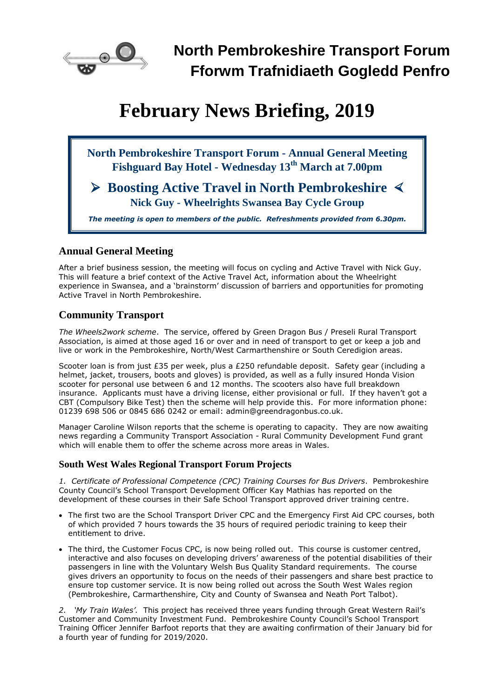

# **February News Briefing, 2019**

**North Pembrokeshire Transport Forum - Annual General Meeting Fishguard Bay Hotel - Wednesday 13th March at 7.00pm**

 **Boosting Active Travel in North Pembrokeshire Nick Guy - Wheelrights Swansea Bay Cycle Group**

*The meeting is open to members of the public. Refreshments provided from 6.30pm.*

# **Annual General Meeting**

After a brief business session, the meeting will focus on cycling and Active Travel with Nick Guy. This will feature a brief context of the Active Travel Act, information about the Wheelright experience in Swansea, and a 'brainstorm' discussion of barriers and opportunities for promoting Active Travel in North Pembrokeshire.

# **Community Transport**

*The Wheels2work scheme*. The service, offered by Green Dragon Bus / Preseli Rural Transport Association, is aimed at those aged 16 or over and in need of transport to get or keep a job and live or work in the Pembrokeshire, North/West Carmarthenshire or South Ceredigion areas.

Scooter loan is from just £35 per week, plus a £250 refundable deposit. Safety gear (including a helmet, jacket, trousers, boots and gloves) is provided, as well as a fully insured Honda Vision scooter for personal use between 6 and 12 months. The scooters also have full breakdown insurance. Applicants must have a driving license, either provisional or full. If they haven't got a CBT (Compulsory Bike Test) then the scheme will help provide this. For more information phone: 01239 698 506 or 0845 686 0242 or email: [admin@greendragonbus.co.uk.](mailto:admin@greendragonbus.co.uk)

Manager Caroline Wilson reports that the scheme is operating to capacity. They are now awaiting news regarding a Community Transport Association - Rural Community Development Fund grant which will enable them to offer the scheme across more areas in Wales.

### **South West Wales Regional Transport Forum Projects**

*1. Certificate of Professional Competence (CPC) Training Courses for Bus Drivers*. Pembrokeshire County Council's School Transport Development Officer Kay Mathias has reported on the development of these courses in their Safe School Transport approved driver training centre.

- The first two are the School Transport Driver CPC and the Emergency First Aid CPC courses, both of which provided 7 hours towards the 35 hours of required periodic training to keep their entitlement to drive.
- The third, the Customer Focus CPC, is now being rolled out. This course is customer centred, interactive and also focuses on developing drivers' awareness of the potential disabilities of their passengers in line with the Voluntary Welsh Bus Quality Standard requirements. The course gives drivers an opportunity to focus on the needs of their passengers and share best practice to ensure top customer service. It is now being rolled out across the South West Wales region (Pembrokeshire, Carmarthenshire, City and County of Swansea and Neath Port Talbot).

*2. 'My Train Wales'.* This project has received three years funding through Great Western Rail's Customer and Community Investment Fund. Pembrokeshire County Council's School Transport Training Officer Jennifer Barfoot reports that they are awaiting confirmation of their January bid for a fourth year of funding for 2019/2020.